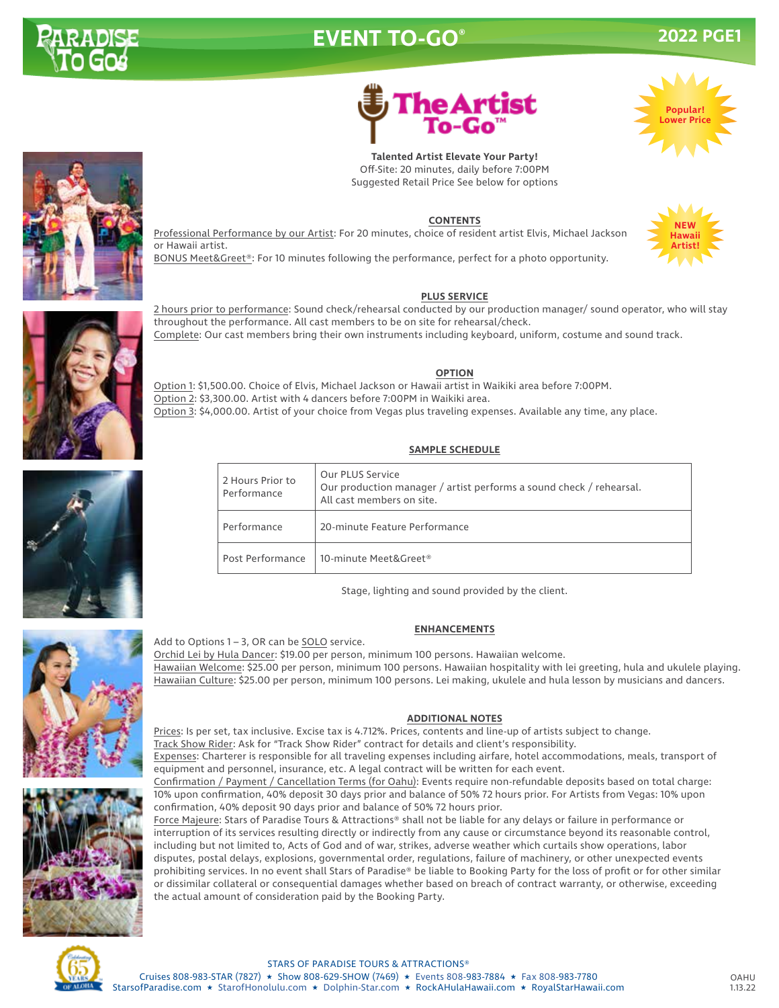

# **EVENT TO-GO®**

## **2022 PGE1**

**Popular! Lower Price**



**Talented Artist Elevate Your Party!** Off-Site: 20 minutes, daily before 7:00PM Suggested Retail Price See below for options

#### **CONTENTS**

Professional Performance by our Artist: For 20 minutes, choice of resident artist Elvis, Michael Jackson or Hawaii artist.

BONUS Meet&Greet®: For 10 minutes following the performance, perfect for a photo opportunity.

#### **PLUS SERVICE**

2 hours prior to performance: Sound check/rehearsal conducted by our production manager/ sound operator, who will stay throughout the performance. All cast members to be on site for rehearsal/check. Complete: Our cast members bring their own instruments including keyboard, uniform, costume and sound track.

#### **OPTION**

Option 1: \$1,500.00. Choice of Elvis, Michael Jackson or Hawaii artist in Waikiki area before 7:00PM. Option 2: \$3,300.00. Artist with 4 dancers before 7:00PM in Waikiki area. Option 3: \$4,000.00. Artist of your choice from Vegas plus traveling expenses. Available any time, any place.

### **SAMPLE SCHEDULE**

| 2 Hours Prior to<br>Performance | Our PLUS Service<br>Our production manager / artist performs a sound check / rehearsal.<br>All cast members on site. |
|---------------------------------|----------------------------------------------------------------------------------------------------------------------|
| Performance                     | 20-minute Feature Performance                                                                                        |
| Post Performance                | 10-minute Meet&Greet®                                                                                                |

Stage, lighting and sound provided by the client.

#### **ENHANCEMENTS**

Orchid Lei by Hula Dancer: \$19.00 per person, minimum 100 persons. Hawaiian welcome. Hawaiian Welcome: \$25.00 per person, minimum 100 persons. Hawaiian hospitality with lei greeting, hula and ukulele playing. Hawaiian Culture: \$25.00 per person, minimum 100 persons. Lei making, ukulele and hula lesson by musicians and dancers.

#### **ADDITIONAL NOTES**

Prices: Is per set, tax inclusive. Excise tax is 4.712%. Prices, contents and line-up of artists subject to change. Track Show Rider: Ask for "Track Show Rider" contract for details and client's responsibility. Expenses: Charterer is responsible for all traveling expenses including airfare, hotel accommodations, meals, transport of equipment and personnel, insurance, etc. A legal contract will be written for each event.

Confirmation / Payment / Cancellation Terms (for Oahu): Events require non-refundable deposits based on total charge: 10% upon confirmation, 40% deposit 30 days prior and balance of 50% 72 hours prior. For Artists from Vegas: 10% upon confirmation, 40% deposit 90 days prior and balance of 50% 72 hours prior.

Force Majeure: Stars of Paradise Tours & Attractions® shall not be liable for any delays or failure in performance or interruption of its services resulting directly or indirectly from any cause or circumstance beyond its reasonable control, including but not limited to, Acts of God and of war, strikes, adverse weather which curtails show operations, labor disputes, postal delays, explosions, governmental order, regulations, failure of machinery, or other unexpected events prohibiting services. In no event shall Stars of Paradise® be liable to Booking Party for the loss of profit or for other similar or dissimilar collateral or consequential damages whether based on breach of contract warranty, or otherwise, exceeding the actual amount of consideration paid by the Booking Party.



#### STARS OF PARADISE TOURS & ATTRACTIONS®